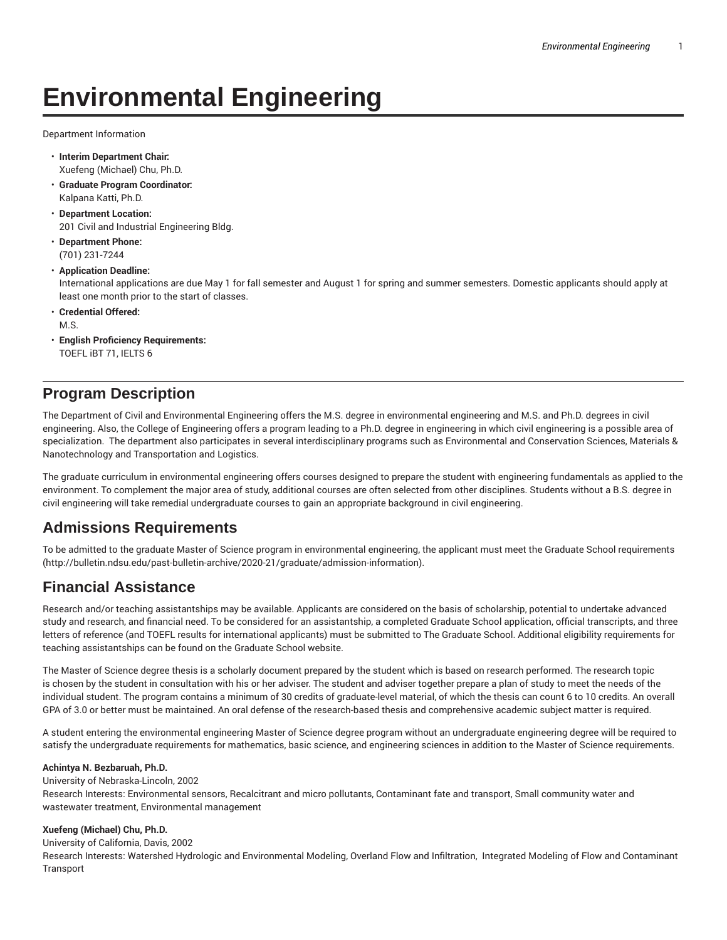# **Environmental Engineering**

Department Information

- **Interim Department Chair:** Xuefeng (Michael) Chu, Ph.D.
- **Graduate Program Coordinator:** Kalpana Katti, Ph.D.
- **Department Location:** 201 Civil and Industrial Engineering Bldg.
- **Department Phone:** (701) 231-7244
- **Application Deadline:**

International applications are due May 1 for fall semester and August 1 for spring and summer semesters. Domestic applicants should apply at least one month prior to the start of classes.

- **Credential Offered:** M.S.
- **English Proficiency Requirements:** TOEFL iBT 71, IELTS 6

# **Program Description**

The Department of Civil and Environmental Engineering offers the M.S. degree in environmental engineering and M.S. and Ph.D. degrees in civil engineering. Also, the College of Engineering offers a program leading to a Ph.D. degree in engineering in which civil engineering is a possible area of specialization. The department also participates in several interdisciplinary programs such as Environmental and Conservation Sciences, Materials & Nanotechnology and Transportation and Logistics.

The graduate curriculum in environmental engineering offers courses designed to prepare the student with engineering fundamentals as applied to the environment. To complement the major area of study, additional courses are often selected from other disciplines. Students without a B.S. degree in civil engineering will take remedial undergraduate courses to gain an appropriate background in civil engineering.

# **Admissions Requirements**

To be admitted to the graduate Master of Science program in environmental engineering, the applicant must meet the Graduate School requirements (http://bulletin.ndsu.edu/past-bulletin-archive/2020-21/graduate/admission-information).

# **Financial Assistance**

Research and/or teaching assistantships may be available. Applicants are considered on the basis of scholarship, potential to undertake advanced study and research, and financial need. To be considered for an assistantship, a completed Graduate School application, official transcripts, and three letters of reference (and TOEFL results for international applicants) must be submitted to The Graduate School. Additional eligibility requirements for teaching assistantships can be found on the Graduate School website.

The Master of Science degree thesis is a scholarly document prepared by the student which is based on research performed. The research topic is chosen by the student in consultation with his or her adviser. The student and adviser together prepare a plan of study to meet the needs of the individual student. The program contains a minimum of 30 credits of graduate-level material, of which the thesis can count 6 to 10 credits. An overall GPA of 3.0 or better must be maintained. An oral defense of the research-based thesis and comprehensive academic subject matter is required.

A student entering the environmental engineering Master of Science degree program without an undergraduate engineering degree will be required to satisfy the undergraduate requirements for mathematics, basic science, and engineering sciences in addition to the Master of Science requirements.

### **Achintya N. Bezbaruah, Ph.D.**

University of Nebraska-Lincoln, 2002 Research Interests: Environmental sensors, Recalcitrant and micro pollutants, Contaminant fate and transport, Small community water and wastewater treatment, Environmental management

# **Xuefeng (Michael) Chu, Ph.D.**

University of California, Davis, 2002 Research Interests: Watershed Hydrologic and Environmental Modeling, Overland Flow and Infiltration, Integrated Modeling of Flow and Contaminant Transport